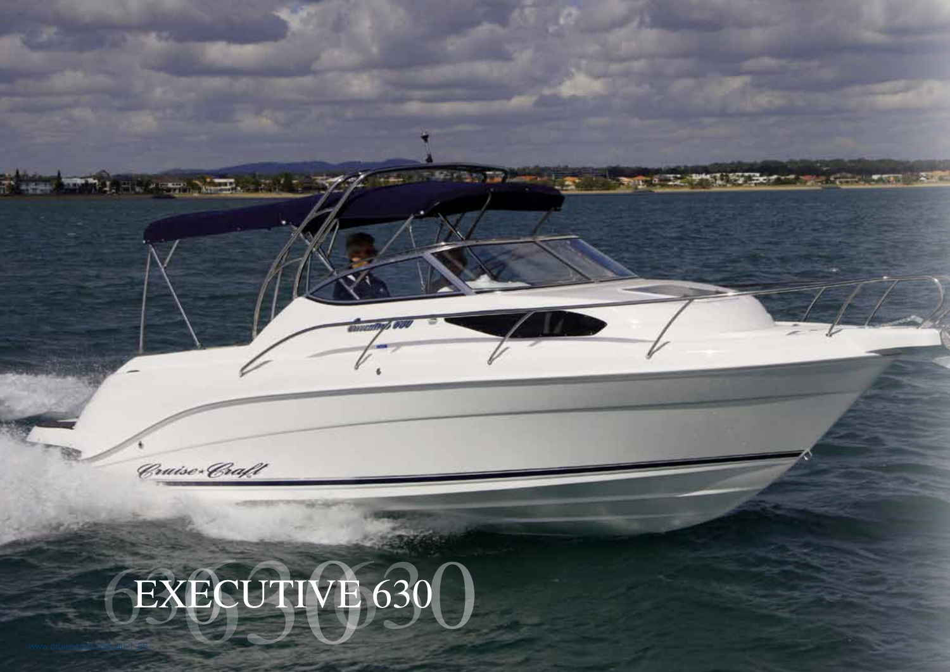**Committee Committee Committee Committee Committee Committee Committee Committee Committee**  $-128$ **Milkenson Mark** Cruise Craft EXECUTIVE 630